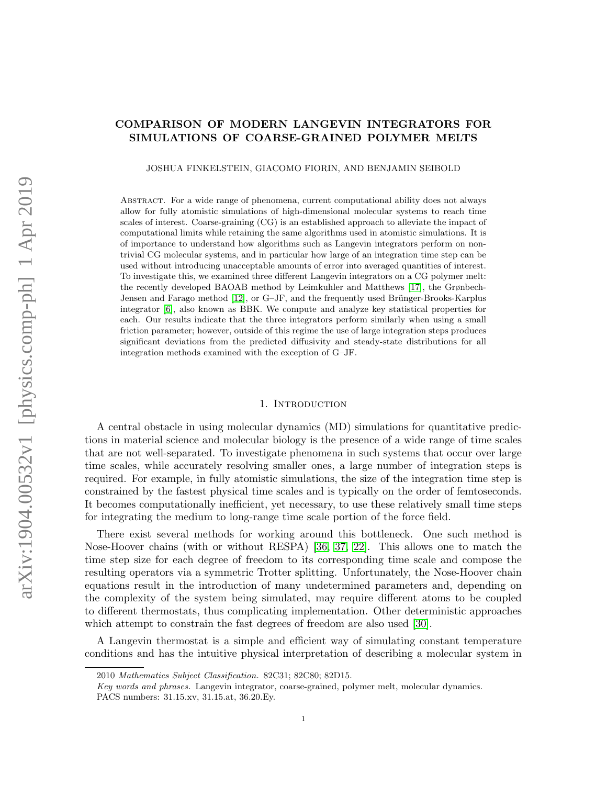# COMPARISON OF MODERN LANGEVIN INTEGRATORS FOR SIMULATIONS OF COARSE-GRAINED POLYMER MELTS

JOSHUA FINKELSTEIN, GIACOMO FIORIN, AND BENJAMIN SEIBOLD

Abstract. For a wide range of phenomena, current computational ability does not always allow for fully atomistic simulations of high-dimensional molecular systems to reach time scales of interest. Coarse-graining (CG) is an established approach to alleviate the impact of computational limits while retaining the same algorithms used in atomistic simulations. It is of importance to understand how algorithms such as Langevin integrators perform on nontrivial CG molecular systems, and in particular how large of an integration time step can be used without introducing unacceptable amounts of error into averaged quantities of interest. To investigate this, we examined three different Langevin integrators on a CG polymer melt: the recently developed BAOAB method by Leimkuhler and Matthews [\[17\]](#page-18-0), the Grønbech-Jensen and Farago method [\[12\]](#page-18-1), or G–JF, and the frequently used Brünger-Brooks-Karplus integrator [\[6\]](#page-18-2), also known as BBK. We compute and analyze key statistical properties for each. Our results indicate that the three integrators perform similarly when using a small friction parameter; however, outside of this regime the use of large integration steps produces significant deviations from the predicted diffusivity and steady-state distributions for all integration methods examined with the exception of G–JF.

## 1. INTRODUCTION

A central obstacle in using molecular dynamics (MD) simulations for quantitative predictions in material science and molecular biology is the presence of a wide range of time scales that are not well-separated. To investigate phenomena in such systems that occur over large time scales, while accurately resolving smaller ones, a large number of integration steps is required. For example, in fully atomistic simulations, the size of the integration time step is constrained by the fastest physical time scales and is typically on the order of femtoseconds. It becomes computationally inefficient, yet necessary, to use these relatively small time steps for integrating the medium to long-range time scale portion of the force field.

There exist several methods for working around this bottleneck. One such method is Nose-Hoover chains (with or without RESPA) [\[36,](#page-19-0) [37,](#page-19-1) [22\]](#page-18-3). This allows one to match the time step size for each degree of freedom to its corresponding time scale and compose the resulting operators via a symmetric Trotter splitting. Unfortunately, the Nose-Hoover chain equations result in the introduction of many undetermined parameters and, depending on the complexity of the system being simulated, may require different atoms to be coupled to different thermostats, thus complicating implementation. Other deterministic approaches which attempt to constrain the fast degrees of freedom are also used [\[30\]](#page-19-2).

A Langevin thermostat is a simple and efficient way of simulating constant temperature conditions and has the intuitive physical interpretation of describing a molecular system in

<sup>2010</sup> Mathematics Subject Classification. 82C31; 82C80; 82D15.

Key words and phrases. Langevin integrator, coarse-grained, polymer melt, molecular dynamics.

PACS numbers: 31.15.xv, 31.15.at, 36.20.Ey.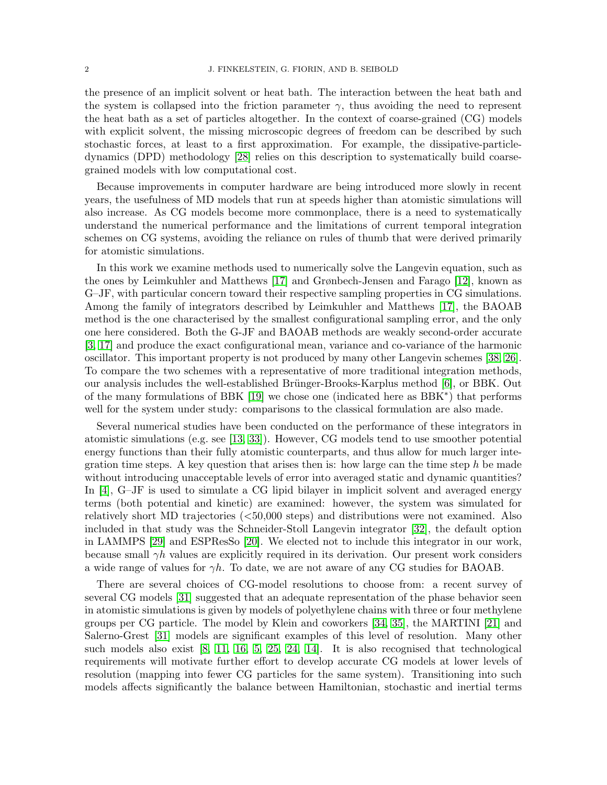the presence of an implicit solvent or heat bath. The interaction between the heat bath and the system is collapsed into the friction parameter  $\gamma$ , thus avoiding the need to represent the heat bath as a set of particles altogether. In the context of coarse-grained (CG) models with explicit solvent, the missing microscopic degrees of freedom can be described by such stochastic forces, at least to a first approximation. For example, the dissipative-particledynamics (DPD) methodology [\[28\]](#page-18-4) relies on this description to systematically build coarsegrained models with low computational cost.

Because improvements in computer hardware are being introduced more slowly in recent years, the usefulness of MD models that run at speeds higher than atomistic simulations will also increase. As CG models become more commonplace, there is a need to systematically understand the numerical performance and the limitations of current temporal integration schemes on CG systems, avoiding the reliance on rules of thumb that were derived primarily for atomistic simulations.

In this work we examine methods used to numerically solve the Langevin equation, such as the ones by Leimkuhler and Matthews [\[17\]](#page-18-0) and Grønbech-Jensen and Farago [\[12\]](#page-18-1), known as G–JF, with particular concern toward their respective sampling properties in CG simulations. Among the family of integrators described by Leimkuhler and Matthews [\[17\]](#page-18-0), the BAOAB method is the one characterised by the smallest configurational sampling error, and the only one here considered. Both the G-JF and BAOAB methods are weakly second-order accurate [\[3,](#page-18-5) [17\]](#page-18-0) and produce the exact configurational mean, variance and co-variance of the harmonic oscillator. This important property is not produced by many other Langevin schemes [\[38,](#page-19-3) [26\]](#page-18-6). To compare the two schemes with a representative of more traditional integration methods, our analysis includes the well-established Brünger-Brooks-Karplus method [\[6\]](#page-18-2), or BBK. Out of the many formulations of BBK [\[19\]](#page-18-7) we chose one (indicated here as BBK<sup>∗</sup> ) that performs well for the system under study: comparisons to the classical formulation are also made.

Several numerical studies have been conducted on the performance of these integrators in atomistic simulations (e.g. see [\[13,](#page-18-8) [33\]](#page-19-4)). However, CG models tend to use smoother potential energy functions than their fully atomistic counterparts, and thus allow for much larger integration time steps. A key question that arises then is: how large can the time step h be made without introducing unacceptable levels of error into averaged static and dynamic quantities? In [\[4\]](#page-18-9), G–JF is used to simulate a CG lipid bilayer in implicit solvent and averaged energy terms (both potential and kinetic) are examined: however, the system was simulated for relatively short MD trajectories (<50,000 steps) and distributions were not examined. Also included in that study was the Schneider-Stoll Langevin integrator [\[32\]](#page-19-5), the default option in LAMMPS [\[29\]](#page-18-10) and ESPResSo [\[20\]](#page-18-11). We elected not to include this integrator in our work, because small  $\gamma h$  values are explicitly required in its derivation. Our present work considers a wide range of values for  $\gamma h$ . To date, we are not aware of any CG studies for BAOAB.

There are several choices of CG-model resolutions to choose from: a recent survey of several CG models [\[31\]](#page-19-6) suggested that an adequate representation of the phase behavior seen in atomistic simulations is given by models of polyethylene chains with three or four methylene groups per CG particle. The model by Klein and coworkers [\[34,](#page-19-7) [35\]](#page-19-8), the MARTINI [\[21\]](#page-18-12) and Salerno-Grest [\[31\]](#page-19-6) models are significant examples of this level of resolution. Many other such models also exist [\[8,](#page-18-13) [11,](#page-18-14) [16,](#page-18-15) [5,](#page-18-16) [25,](#page-18-17) [24,](#page-18-18) [14\]](#page-18-19). It is also recognised that technological requirements will motivate further effort to develop accurate CG models at lower levels of resolution (mapping into fewer CG particles for the same system). Transitioning into such models affects significantly the balance between Hamiltonian, stochastic and inertial terms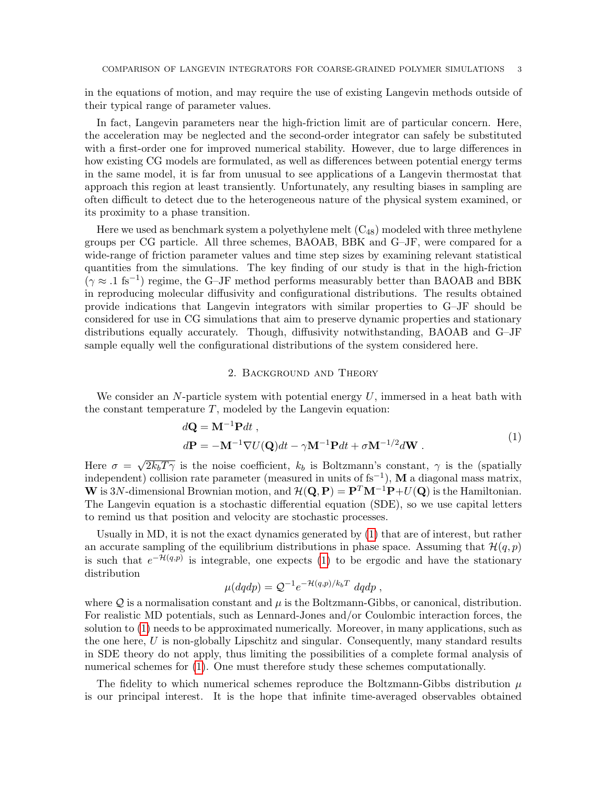in the equations of motion, and may require the use of existing Langevin methods outside of their typical range of parameter values.

In fact, Langevin parameters near the high-friction limit are of particular concern. Here, the acceleration may be neglected and the second-order integrator can safely be substituted with a first-order one for improved numerical stability. However, due to large differences in how existing CG models are formulated, as well as differences between potential energy terms in the same model, it is far from unusual to see applications of a Langevin thermostat that approach this region at least transiently. Unfortunately, any resulting biases in sampling are often difficult to detect due to the heterogeneous nature of the physical system examined, or its proximity to a phase transition.

Here we used as benchmark system a polyethylene melt  $(C_{48})$  modeled with three methylene groups per CG particle. All three schemes, BAOAB, BBK and G–JF, were compared for a wide-range of friction parameter values and time step sizes by examining relevant statistical quantities from the simulations. The key finding of our study is that in the high-friction  $(\gamma \approx .1 \text{ fs}^{-1})$  regime, the G–JF method performs measurably better than BAOAB and BBK in reproducing molecular diffusivity and configurational distributions. The results obtained provide indications that Langevin integrators with similar properties to G–JF should be considered for use in CG simulations that aim to preserve dynamic properties and stationary distributions equally accurately. Though, diffusivity notwithstanding, BAOAB and G–JF sample equally well the configurational distributions of the system considered here.

## <span id="page-2-0"></span>2. Background and Theory

We consider an N-particle system with potential energy  $U$ , immersed in a heat bath with the constant temperature  $T$ , modeled by the Langevin equation:

$$
d\mathbf{Q} = \mathbf{M}^{-1} \mathbf{P} dt ,
$$
  
\n
$$
d\mathbf{P} = -\mathbf{M}^{-1} \nabla U(\mathbf{Q}) dt - \gamma \mathbf{M}^{-1} \mathbf{P} dt + \sigma \mathbf{M}^{-1/2} d\mathbf{W} .
$$
\n(1)

Here  $\sigma =$ √  $\sqrt{2k_bT\gamma}$  is the noise coefficient,  $k_b$  is Boltzmann's constant,  $\gamma$  is the (spatially independent) collision rate parameter (measured in units of fs−<sup>1</sup> ), M a diagonal mass matrix, W is 3N-dimensional Brownian motion, and  $\mathcal{H}(\mathbf{Q}, \mathbf{P}) = \mathbf{P}^T \mathbf{M}^{-1} \mathbf{P} + U(\mathbf{Q})$  is the Hamiltonian. The Langevin equation is a stochastic differential equation (SDE), so we use capital letters to remind us that position and velocity are stochastic processes.

Usually in MD, it is not the exact dynamics generated by [\(1\)](#page-2-0) that are of interest, but rather an accurate sampling of the equilibrium distributions in phase space. Assuming that  $\mathcal{H}(q, p)$ is such that  $e^{-\mathcal{H}(q,p)}$  is integrable, one expects [\(1\)](#page-2-0) to be ergodic and have the stationary distribution

$$
\mu(dqdp) = \mathcal{Q}^{-1}e^{-\mathcal{H}(q,p)/k_bT} dqdp ,
$$

where  $\mathcal Q$  is a normalisation constant and  $\mu$  is the Boltzmann-Gibbs, or canonical, distribution. For realistic MD potentials, such as Lennard-Jones and/or Coulombic interaction forces, the solution to [\(1\)](#page-2-0) needs to be approximated numerically. Moreover, in many applications, such as the one here,  $U$  is non-globally Lipschitz and singular. Consequently, many standard results in SDE theory do not apply, thus limiting the possibilities of a complete formal analysis of numerical schemes for [\(1\)](#page-2-0). One must therefore study these schemes computationally.

The fidelity to which numerical schemes reproduce the Boltzmann-Gibbs distribution  $\mu$ is our principal interest. It is the hope that infinite time-averaged observables obtained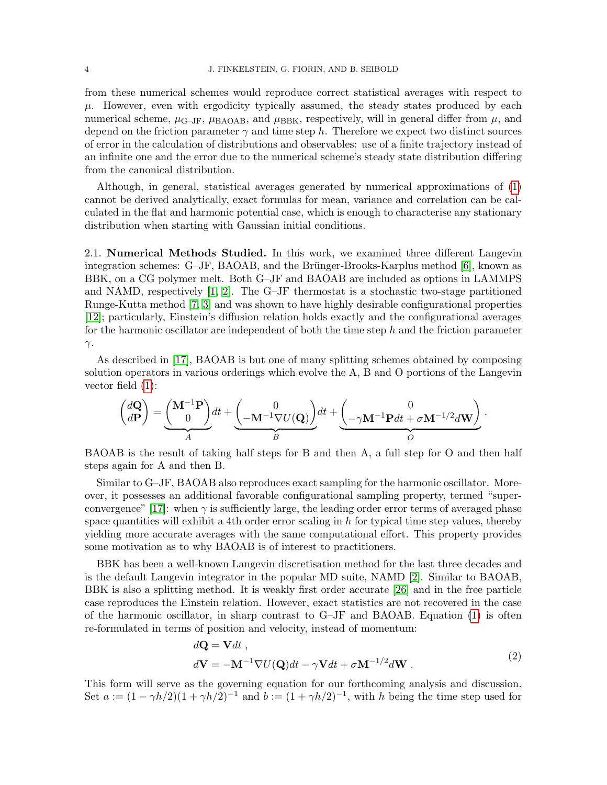from these numerical schemes would reproduce correct statistical averages with respect to  $\mu$ . However, even with ergodicity typically assumed, the steady states produced by each numerical scheme,  $\mu_{\text{G-IF}}$ ,  $\mu_{\text{BAOAB}}$ , and  $\mu_{\text{BBK}}$ , respectively, will in general differ from  $\mu$ , and depend on the friction parameter  $\gamma$  and time step h. Therefore we expect two distinct sources of error in the calculation of distributions and observables: use of a finite trajectory instead of an infinite one and the error due to the numerical scheme's steady state distribution differing from the canonical distribution.

Although, in general, statistical averages generated by numerical approximations of [\(1\)](#page-2-0) cannot be derived analytically, exact formulas for mean, variance and correlation can be calculated in the flat and harmonic potential case, which is enough to characterise any stationary distribution when starting with Gaussian initial conditions.

2.1. Numerical Methods Studied. In this work, we examined three different Langevin integration schemes:  $G-JF$ , BAOAB, and the Brünger-Brooks-Karplus method [\[6\]](#page-18-2), known as BBK, on a CG polymer melt. Both G–JF and BAOAB are included as options in LAMMPS and NAMD, respectively [\[1,](#page-18-20) [2\]](#page-18-21). The G–JF thermostat is a stochastic two-stage partitioned Runge-Kutta method [\[7,](#page-18-22) [3\]](#page-18-5) and was shown to have highly desirable configurational properties [\[12\]](#page-18-1); particularly, Einstein's diffusion relation holds exactly and the configurational averages for the harmonic oscillator are independent of both the time step h and the friction parameter  $γ$ .

As described in [\[17\]](#page-18-0), BAOAB is but one of many splitting schemes obtained by composing solution operators in various orderings which evolve the A, B and O portions of the Langevin vector field [\(1\)](#page-2-0):

$$
\begin{pmatrix} d\mathbf{Q} \\ d\mathbf{P} \end{pmatrix} = \underbrace{\begin{pmatrix} \mathbf{M}^{-1}\mathbf{P} \\ 0 \end{pmatrix}}_{A} dt + \underbrace{\begin{pmatrix} 0 \\ -\mathbf{M}^{-1}\nabla U(\mathbf{Q}) \end{pmatrix}}_{B} dt + \underbrace{\begin{pmatrix} 0 \\ -\gamma\mathbf{M}^{-1}\mathbf{P}dt + \sigma\mathbf{M}^{-1/2}d\mathbf{W} \end{pmatrix}}_{O}.
$$

BAOAB is the result of taking half steps for B and then A, a full step for O and then half steps again for A and then B.

Similar to G–JF, BAOAB also reproduces exact sampling for the harmonic oscillator. Moreover, it possesses an additional favorable configurational sampling property, termed "super-convergence" [\[17\]](#page-18-0): when  $\gamma$  is sufficiently large, the leading order error terms of averaged phase space quantities will exhibit a 4th order error scaling in  $h$  for typical time step values, thereby yielding more accurate averages with the same computational effort. This property provides some motivation as to why BAOAB is of interest to practitioners.

BBK has been a well-known Langevin discretisation method for the last three decades and is the default Langevin integrator in the popular MD suite, NAMD [\[2\]](#page-18-21). Similar to BAOAB, BBK is also a splitting method. It is weakly first order accurate [\[26\]](#page-18-6) and in the free particle case reproduces the Einstein relation. However, exact statistics are not recovered in the case of the harmonic oscillator, in sharp contrast to G–JF and BAOAB. Equation [\(1\)](#page-2-0) is often re-formulated in terms of position and velocity, instead of momentum:

<span id="page-3-0"></span>
$$
d\mathbf{Q} = \mathbf{V}dt ,
$$
  
\n
$$
d\mathbf{V} = -\mathbf{M}^{-1}\nabla U(\mathbf{Q})dt - \gamma \mathbf{V}dt + \sigma \mathbf{M}^{-1/2}d\mathbf{W} .
$$
\n(2)

This form will serve as the governing equation for our forthcoming analysis and discussion. Set  $a := (1 - \gamma h/2)(1 + \gamma h/2)^{-1}$  and  $b := (1 + \gamma h/2)^{-1}$ , with h being the time step used for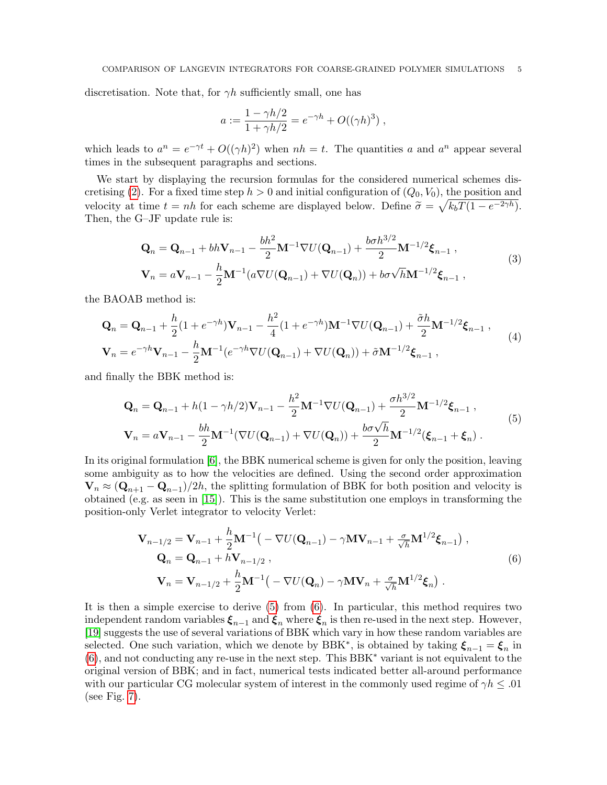discretisation. Note that, for  $\gamma h$  sufficiently small, one has

<span id="page-4-3"></span><span id="page-4-2"></span>
$$
a := \frac{1 - \gamma h/2}{1 + \gamma h/2} = e^{-\gamma h} + O((\gamma h)^3) ,
$$

which leads to  $a^n = e^{-\gamma t} + O((\gamma h)^2)$  when  $nh = t$ . The quantities a and  $a^n$  appear several times in the subsequent paragraphs and sections.

We start by displaying the recursion formulas for the considered numerical schemes dis-cretising [\(2\)](#page-3-0). For a fixed time step  $h > 0$  and initial configuration of  $(Q_0, V_0)$ , the position and velocity at time  $t = nh$  for each scheme are displayed below. Define  $\tilde{\sigma} = \sqrt{k_b T (1 - e^{-2\gamma h})}$ .<br>Then, the G-IF undate rule is: Then, the G–JF update rule is:

$$
\mathbf{Q}_{n} = \mathbf{Q}_{n-1} + bh\mathbf{V}_{n-1} - \frac{bh^{2}}{2}\mathbf{M}^{-1}\nabla U(\mathbf{Q}_{n-1}) + \frac{boh^{3/2}}{2}\mathbf{M}^{-1/2}\boldsymbol{\xi}_{n-1},
$$
\n
$$
\mathbf{V}_{n} = a\mathbf{V}_{n-1} - \frac{h}{2}\mathbf{M}^{-1}(a\nabla U(\mathbf{Q}_{n-1}) + \nabla U(\mathbf{Q}_{n})) + bo\sqrt{h}\mathbf{M}^{-1/2}\boldsymbol{\xi}_{n-1},
$$
\n(3)

the BAOAB method is:

$$
\mathbf{Q}_{n} = \mathbf{Q}_{n-1} + \frac{h}{2} (1 + e^{-\gamma h}) \mathbf{V}_{n-1} - \frac{h^{2}}{4} (1 + e^{-\gamma h}) \mathbf{M}^{-1} \nabla U(\mathbf{Q}_{n-1}) + \frac{\tilde{\sigma} h}{2} \mathbf{M}^{-1/2} \boldsymbol{\xi}_{n-1} ,
$$
\n
$$
\mathbf{V}_{n} = e^{-\gamma h} \mathbf{V}_{n-1} - \frac{h}{2} \mathbf{M}^{-1} (e^{-\gamma h} \nabla U(\mathbf{Q}_{n-1}) + \nabla U(\mathbf{Q}_{n})) + \tilde{\sigma} \mathbf{M}^{-1/2} \boldsymbol{\xi}_{n-1} ,
$$
\n(4)

and finally the BBK method is:

<span id="page-4-0"></span>
$$
\mathbf{Q}_{n} = \mathbf{Q}_{n-1} + h(1 - \gamma h/2)\mathbf{V}_{n-1} - \frac{h^{2}}{2}\mathbf{M}^{-1}\nabla U(\mathbf{Q}_{n-1}) + \frac{\sigma h^{3/2}}{2}\mathbf{M}^{-1/2}\boldsymbol{\xi}_{n-1},
$$
\n
$$
\mathbf{V}_{n} = a\mathbf{V}_{n-1} - \frac{bh}{2}\mathbf{M}^{-1}(\nabla U(\mathbf{Q}_{n-1}) + \nabla U(\mathbf{Q}_{n})) + \frac{b\sigma\sqrt{h}}{2}\mathbf{M}^{-1/2}(\boldsymbol{\xi}_{n-1} + \boldsymbol{\xi}_{n}).
$$
\n(5)

In its original formulation [\[6\]](#page-18-2), the BBK numerical scheme is given for only the position, leaving some ambiguity as to how the velocities are defined. Using the second order approximation  $\mathbf{V}_n \approx (\mathbf{Q}_{n+1} - \mathbf{Q}_{n-1})/2h$ , the splitting formulation of BBK for both position and velocity is obtained (e.g. as seen in [\[15\]](#page-18-23)). This is the same substitution one employs in transforming the position-only Verlet integrator to velocity Verlet:

<span id="page-4-1"></span>
$$
\mathbf{V}_{n-1/2} = \mathbf{V}_{n-1} + \frac{h}{2} \mathbf{M}^{-1} \left( -\nabla U(\mathbf{Q}_{n-1}) - \gamma \mathbf{M} \mathbf{V}_{n-1} + \frac{\sigma}{\sqrt{h}} \mathbf{M}^{1/2} \boldsymbol{\xi}_{n-1} \right),
$$
  
\n
$$
\mathbf{Q}_n = \mathbf{Q}_{n-1} + h \mathbf{V}_{n-1/2},
$$
  
\n
$$
\mathbf{V}_n = \mathbf{V}_{n-1/2} + \frac{h}{2} \mathbf{M}^{-1} \left( -\nabla U(\mathbf{Q}_n) - \gamma \mathbf{M} \mathbf{V}_n + \frac{\sigma}{\sqrt{h}} \mathbf{M}^{1/2} \boldsymbol{\xi}_n \right).
$$
\n(6)

It is then a simple exercise to derive [\(5\)](#page-4-0) from [\(6\)](#page-4-1). In particular, this method requires two independent random variables  $\xi_{n-1}$  and  $\xi_n$  where  $\xi_n$  is then re-used in the next step. However, [\[19\]](#page-18-7) suggests the use of several variations of BBK which vary in how these random variables are selected. One such variation, which we denote by BBK<sup>\*</sup>, is obtained by taking  $\xi_{n-1} = \xi_n$  in [\(6\)](#page-4-1), and not conducting any re-use in the next step. This BBK<sup>∗</sup> variant is not equivalent to the original version of BBK; and in fact, numerical tests indicated better all-around performance with our particular CG molecular system of interest in the commonly used regime of  $\gamma h \leq .01$ (see Fig. [7\)](#page-17-0).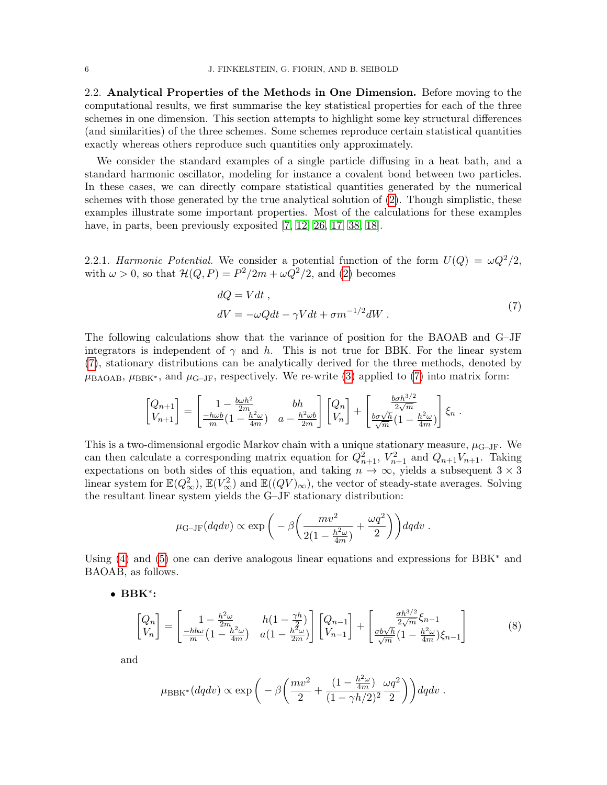2.2. Analytical Properties of the Methods in One Dimension. Before moving to the computational results, we first summarise the key statistical properties for each of the three schemes in one dimension. This section attempts to highlight some key structural differences (and similarities) of the three schemes. Some schemes reproduce certain statistical quantities exactly whereas others reproduce such quantities only approximately.

We consider the standard examples of a single particle diffusing in a heat bath, and a standard harmonic oscillator, modeling for instance a covalent bond between two particles. In these cases, we can directly compare statistical quantities generated by the numerical schemes with those generated by the true analytical solution of  $(2)$ . Though simplistic, these examples illustrate some important properties. Most of the calculations for these examples have, in parts, been previously exposited [\[7,](#page-18-22) [12,](#page-18-1) [26,](#page-18-6) [17,](#page-18-0) [38,](#page-19-3) [18\]](#page-18-24).

2.2.1. Harmonic Potential. We consider a potential function of the form  $U(Q) = \omega Q^2/2$ , with  $\omega > 0$ , so that  $\mathcal{H}(Q, P) = P^2/2m + \omega Q^2/2$ , and [\(2\)](#page-3-0) becomes

<span id="page-5-0"></span>
$$
dQ = Vdt ,
$$
  
\n
$$
dV = -\omega Qdt - \gamma Vdt + \sigma m^{-1/2}dW .
$$
\n(7)

The following calculations show that the variance of position for the BAOAB and G–JF integrators is independent of  $\gamma$  and h. This is not true for BBK. For the linear system [\(7\)](#page-5-0), stationary distributions can be analytically derived for the three methods, denoted by  $\mu_{\text{BAOAB}}$ ,  $\mu_{\text{BBK}^*}$ , and  $\mu_{\text{G-JF}}$ , respectively. We re-write [\(3\)](#page-4-2) applied to [\(7\)](#page-5-0) into matrix form:

$$
\begin{bmatrix} Q_{n+1} \\ V_{n+1} \end{bmatrix} = \begin{bmatrix} 1 - \frac{b\omega h^2}{2m} & bh \\ \frac{-h\omega b}{m} (1 - \frac{h^2 \omega}{4m}) & a - \frac{h^2 \omega b}{2m} \end{bmatrix} \begin{bmatrix} Q_n \\ V_n \end{bmatrix} + \begin{bmatrix} \frac{b\sigma h^{3/2}}{2\sqrt{m}} \\ \frac{b\sigma\sqrt{h}}{\sqrt{m}} (1 - \frac{h^2 \omega}{4m}) \end{bmatrix} \xi_n .
$$

This is a two-dimensional ergodic Markov chain with a unique stationary measure,  $\mu_{\text{G-JF}}$ . We can then calculate a corresponding matrix equation for  $Q_{n+1}^2$ ,  $V_{n+1}^2$  and  $Q_{n+1}V_{n+1}$ . Taking expectations on both sides of this equation, and taking  $n \to \infty$ , yields a subsequent  $3 \times 3$ linear system for  $\mathbb{E}(Q^2_{\infty}), \mathbb{E}(V^2_{\infty})$  and  $\mathbb{E}((QV)_{\infty})$ , the vector of steady-state averages. Solving the resultant linear system yields the G–JF stationary distribution:

<span id="page-5-1"></span>
$$
\mu_{\text{G-JF}}(dqdv) \propto \exp\bigg(-\beta\bigg(\frac{mv^2}{2(1-\frac{h^2\omega}{4m})}+\frac{\omega q^2}{2}\bigg)\bigg) dqdv.
$$

Using [\(4\)](#page-4-3) and [\(5\)](#page-4-0) one can derive analogous linear equations and expressions for BBK<sup>∗</sup> and BAOAB, as follows.

• BBK<sup>∗</sup> :

$$
\begin{bmatrix} Q_n \\ V_n \end{bmatrix} = \begin{bmatrix} 1 - \frac{h^2 \omega}{2m} & h(1 - \frac{\gamma h}{2}) \\ \frac{-h b \omega}{m} (1 - \frac{h^2 \omega}{4m}) & a(1 - \frac{h^2 \omega}{2m}) \end{bmatrix} \begin{bmatrix} Q_{n-1} \\ V_{n-1} \end{bmatrix} + \begin{bmatrix} \frac{\sigma h^{3/2}}{2\sqrt{m}} \xi_{n-1} \\ \frac{\sigma b \sqrt{h}}{\sqrt{m}} (1 - \frac{h^2 \omega}{4m}) \xi_{n-1} \end{bmatrix}
$$
(8)

and

$$
\mu_{\text{BBK}^*}(dqdv) \propto \exp\bigg(-\beta\bigg(\frac{mv^2}{2} + \frac{(1 - \frac{h^2\omega}{4m})}{(1 - \gamma h/2)^2}\frac{\omega q^2}{2}\bigg)\bigg) dqdv.
$$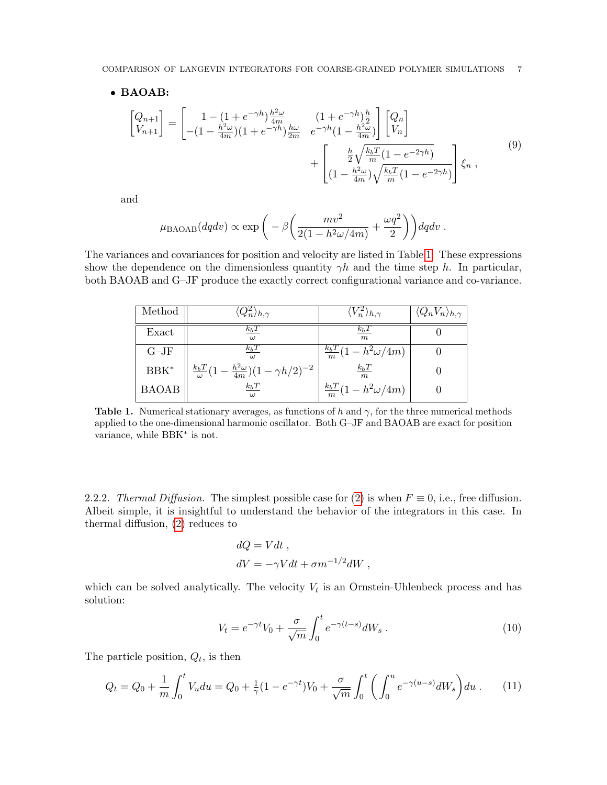#### • BAOAB:

$$
\begin{bmatrix}\nQ_{n+1} \\
V_{n+1}\n\end{bmatrix} = \begin{bmatrix}\n1 - (1 + e^{-\gamma h}) \frac{\hbar^2 \omega}{4m} & (1 + e^{-\gamma h}) \frac{\hbar}{2} \\
-(1 - \frac{\hbar^2 \omega}{4m})(1 + e^{-\gamma h}) \frac{\hbar \omega}{2m} & e^{-\gamma h} (1 - \frac{\hbar^2 \omega}{4m})\n\end{bmatrix} \begin{bmatrix}\nQ_n \\
V_n\n\end{bmatrix} + \begin{bmatrix}\n\frac{\hbar}{2} \sqrt{\frac{k_b T}{m} (1 - e^{-2\gamma h})} \\
(1 - \frac{\hbar^2 \omega}{4m}) \sqrt{\frac{k_b T}{m} (1 - e^{-2\gamma h})}\n\end{bmatrix} \xi_n ,
$$
\n(9)

and

<span id="page-6-3"></span>
$$
\mu_{\text{BAOAB}}(dqdv) \propto \exp\bigg(-\beta \bigg(\frac{mv^2}{2(1-h^2\omega/4m)}+\frac{\omega q^2}{2}\bigg)\bigg) dqdv.
$$

<span id="page-6-0"></span>The variances and covariances for position and velocity are listed in Table [1.](#page-6-0) These expressions show the dependence on the dimensionless quantity  $\gamma h$  and the time step h. In particular, both BAOAB and G–JF produce the exactly correct configurational variance and co-variance.

| Method       | $\langle Q_n^2\rangle_{h,\gamma}$                                       | $\langle V^z_n \rangle_{h,\gamma}$ | $\langle Q_n V_n \rangle_{h,\gamma}$ |
|--------------|-------------------------------------------------------------------------|------------------------------------|--------------------------------------|
| Exact        | $k_bT$<br>$\omega$                                                      | $\kappa_b$ 1<br>m                  |                                      |
| $G-JF$       | $k_bT$                                                                  | $\frac{k_bT}{m}(1-h^2\omega/4m)$   |                                      |
| $BBK^*$      | $\frac{k_b T}{\omega} (1 - \frac{h^2 \omega}{4m})(1 - \gamma h/2)^{-2}$ | $k_bT$<br>m                        |                                      |
| <b>BAOAB</b> | $k_bT$<br>$\omega$                                                      | $\frac{k_bT}{m}(1-h^2\omega/4m)$   |                                      |

**Table 1.** Numerical stationary averages, as functions of h and  $\gamma$ , for the three numerical methods applied to the one-dimensional harmonic oscillator. Both G–JF and BAOAB are exact for position variance, while BBK<sup>\*</sup> is not.

2.2.2. Thermal Diffusion. The simplest possible case for [\(2\)](#page-3-0) is when  $F \equiv 0$ , i.e., free diffusion. Albeit simple, it is insightful to understand the behavior of the integrators in this case. In thermal diffusion, [\(2\)](#page-3-0) reduces to

<span id="page-6-2"></span>
$$
dQ = Vdt ,
$$
  
\n
$$
dV = -\gamma Vdt + \sigma m^{-1/2}dW ,
$$

which can be solved analytically. The velocity  $V_t$  is an Ornstein-Uhlenbeck process and has solution:

<span id="page-6-1"></span>
$$
V_t = e^{-\gamma t} V_0 + \frac{\sigma}{\sqrt{m}} \int_0^t e^{-\gamma(t-s)} dW_s \,. \tag{10}
$$

The particle position,  $Q_t$ , is then

$$
Q_t = Q_0 + \frac{1}{m} \int_0^t V_u du = Q_0 + \frac{1}{\gamma} (1 - e^{-\gamma t}) V_0 + \frac{\sigma}{\sqrt{m}} \int_0^t \left( \int_0^u e^{-\gamma (u-s)} dW_s \right) du \,. \tag{11}
$$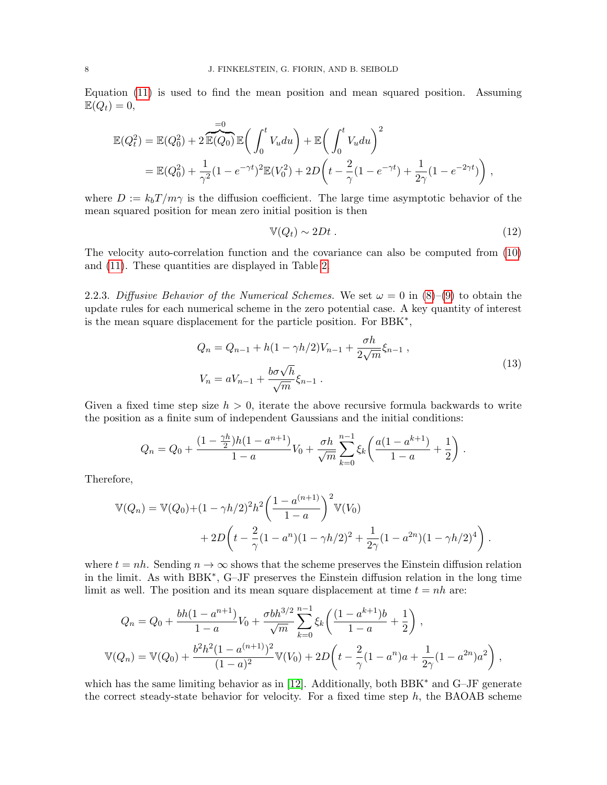Equation [\(11\)](#page-6-1) is used to find the mean position and mean squared position. Assuming  $\mathbb{E}(Q_t)=0,$ 

$$
\mathbb{E}(Q_t^2) = \mathbb{E}(Q_0^2) + 2 \overbrace{\mathbb{E}(Q_0)}^{\text{=0}} \mathbb{E}\left(\int_0^t V_u du\right) + \mathbb{E}\left(\int_0^t V_u du\right)^2
$$
  
= 
$$
\mathbb{E}(Q_0^2) + \frac{1}{\gamma^2} (1 - e^{-\gamma t})^2 \mathbb{E}(V_0^2) + 2D\left(t - \frac{2}{\gamma}(1 - e^{-\gamma t}) + \frac{1}{2\gamma}(1 - e^{-2\gamma t})\right),
$$

where  $D := k_b T / m\gamma$  is the diffusion coefficient. The large time asymptotic behavior of the mean squared position for mean zero initial position is then

<span id="page-7-0"></span>
$$
\mathbb{V}(Q_t) \sim 2Dt \tag{12}
$$

The velocity auto-correlation function and the covariance can also be computed from [\(10\)](#page-6-2) and [\(11\)](#page-6-1). These quantities are displayed in Table [2.](#page-9-0)

2.2.3. Diffusive Behavior of the Numerical Schemes. We set  $\omega = 0$  in  $(8)-(9)$  $(8)-(9)$  $(8)-(9)$  to obtain the update rules for each numerical scheme in the zero potential case. A key quantity of interest is the mean square displacement for the particle position. For BBK<sup>∗</sup> ,

$$
Q_n = Q_{n-1} + h(1 - \gamma h/2)V_{n-1} + \frac{\sigma h}{2\sqrt{m}}\xi_{n-1},
$$
  
\n
$$
V_n = aV_{n-1} + \frac{b\sigma\sqrt{h}}{\sqrt{m}}\xi_{n-1}.
$$
\n(13)

Given a fixed time step size  $h > 0$ , iterate the above recursive formula backwards to write the position as a finite sum of independent Gaussians and the initial conditions:

$$
Q_n = Q_0 + \frac{(1 - \frac{\gamma h}{2})h(1 - a^{n+1})}{1 - a}V_0 + \frac{\sigma h}{\sqrt{m}} \sum_{k=0}^{n-1} \xi_k \left( \frac{a(1 - a^{k+1})}{1 - a} + \frac{1}{2} \right).
$$

Therefore,

$$
\mathbb{V}(Q_n) = \mathbb{V}(Q_0) + (1 - \gamma h/2)^2 h^2 \left(\frac{1 - a^{(n+1)}}{1 - a}\right)^2 \mathbb{V}(V_0)
$$
  
+ 
$$
2D \left(t - \frac{2}{\gamma} (1 - a^n)(1 - \gamma h/2)^2 + \frac{1}{2\gamma} (1 - a^{2n})(1 - \gamma h/2)^4\right).
$$

where  $t = nh$ . Sending  $n \to \infty$  shows that the scheme preserves the Einstein diffusion relation in the limit. As with BBK<sup>∗</sup> , G–JF preserves the Einstein diffusion relation in the long time limit as well. The position and its mean square displacement at time  $t = nh$  are:

$$
Q_n = Q_0 + \frac{bh(1 - a^{n+1})}{1 - a}V_0 + \frac{\sigma bh^{3/2}}{\sqrt{m}} \sum_{k=0}^{n-1} \xi_k \left( \frac{(1 - a^{k+1})b}{1 - a} + \frac{1}{2} \right),
$$
  

$$
\mathbb{V}(Q_n) = \mathbb{V}(Q_0) + \frac{b^2h^2(1 - a^{(n+1)})^2}{(1 - a)^2} \mathbb{V}(V_0) + 2D\left(t - \frac{2}{\gamma}(1 - a^n)a + \frac{1}{2\gamma}(1 - a^{2n})a^2\right),
$$

which has the same limiting behavior as in [\[12\]](#page-18-1). Additionally, both BBK<sup>∗</sup> and G–JF generate the correct steady-state behavior for velocity. For a fixed time step  $h$ , the BAOAB scheme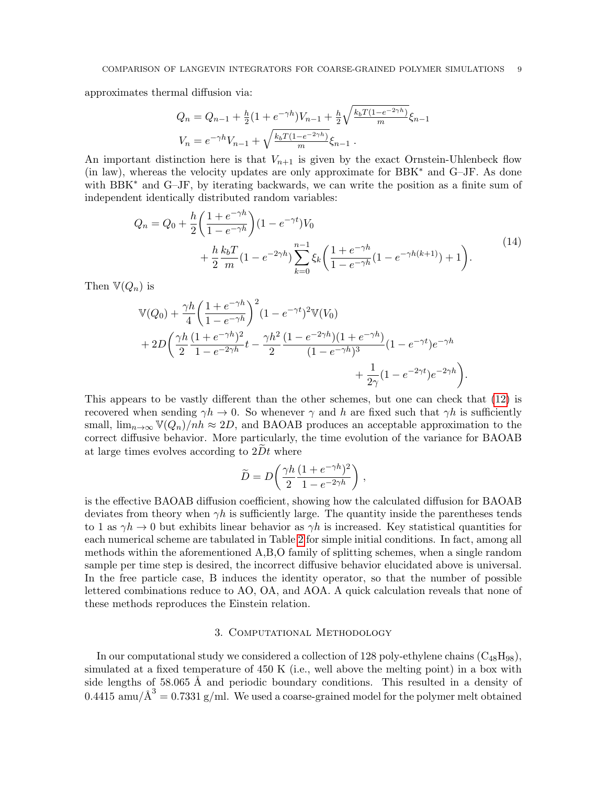approximates thermal diffusion via:

$$
Q_n = Q_{n-1} + \frac{h}{2} (1 + e^{-\gamma h}) V_{n-1} + \frac{h}{2} \sqrt{\frac{k_b T (1 - e^{-2\gamma h})}{m}} \xi_{n-1}
$$
  

$$
V_n = e^{-\gamma h} V_{n-1} + \sqrt{\frac{k_b T (1 - e^{-2\gamma h})}{m}} \xi_{n-1}.
$$

An important distinction here is that  $V_{n+1}$  is given by the exact Ornstein-Uhlenbeck flow (in law), whereas the velocity updates are only approximate for BBK<sup>∗</sup> and G–JF. As done with BBK<sup>∗</sup> and G–JF, by iterating backwards, we can write the position as a finite sum of independent identically distributed random variables:

$$
Q_n = Q_0 + \frac{h}{2} \left( \frac{1 + e^{-\gamma h}}{1 - e^{-\gamma h}} \right) (1 - e^{-\gamma t}) V_0 + \frac{h}{2} \frac{k_b T}{m} (1 - e^{-2\gamma h}) \sum_{k=0}^{n-1} \xi_k \left( \frac{1 + e^{-\gamma h}}{1 - e^{-\gamma h}} (1 - e^{-\gamma h(k+1)}) + 1 \right).
$$
(14)

Then  $\mathbb{V}(Q_n)$  is

$$
\mathbb{V}(Q_0) + \frac{\gamma h}{4} \left( \frac{1 + e^{-\gamma h}}{1 - e^{-\gamma h}} \right)^2 (1 - e^{-\gamma t})^2 \mathbb{V}(V_0) \n+ 2D \left( \frac{\gamma h}{2} \frac{(1 + e^{-\gamma h})^2}{1 - e^{-2\gamma h}} t - \frac{\gamma h^2}{2} \frac{(1 - e^{-2\gamma h})(1 + e^{-\gamma h})}{(1 - e^{-\gamma h})^3} (1 - e^{-\gamma t}) e^{-\gamma h} + \frac{1}{2\gamma} (1 - e^{-2\gamma t}) e^{-2\gamma h} \right).
$$

This appears to be vastly different than the other schemes, but one can check that [\(12\)](#page-7-0) is recovered when sending  $\gamma h \to 0$ . So whenever  $\gamma$  and h are fixed such that  $\gamma h$  is sufficiently small,  $\lim_{n\to\infty} \mathbb{V}(Q_n)/nh \approx 2D$ , and BAOAB produces an acceptable approximation to the correct diffusive behavior. More particularly, the time evolution of the variance for BAOAB at large times evolves according to  $2Dt$  where

$$
\widetilde{D}=D\bigg(\frac{\gamma h}{2}\frac{(1+e^{-\gamma h})^2}{1-e^{-2\gamma h}}\bigg)\;,
$$

is the effective BAOAB diffusion coefficient, showing how the calculated diffusion for BAOAB deviates from theory when  $\gamma h$  is sufficiently large. The quantity inside the parentheses tends to 1 as  $\gamma h \to 0$  but exhibits linear behavior as  $\gamma h$  is increased. Key statistical quantities for each numerical scheme are tabulated in Table [2](#page-9-0) for simple initial conditions. In fact, among all methods within the aforementioned A,B,O family of splitting schemes, when a single random sample per time step is desired, the incorrect diffusive behavior elucidated above is universal. In the free particle case, B induces the identity operator, so that the number of possible lettered combinations reduce to AO, OA, and AOA. A quick calculation reveals that none of these methods reproduces the Einstein relation.

# 3. Computational Methodology

In our computational study we considered a collection of 128 poly-ethylene chains  $(C_{48}H_{98})$ , simulated at a fixed temperature of 450 K (i.e., well above the melting point) in a box with side lengths of 58.065 Å and periodic boundary conditions. This resulted in a density of  $0.4415 \text{ amu}/\text{\AA}^3 = 0.7331 \text{ g/ml}$ . We used a coarse-grained model for the polymer melt obtained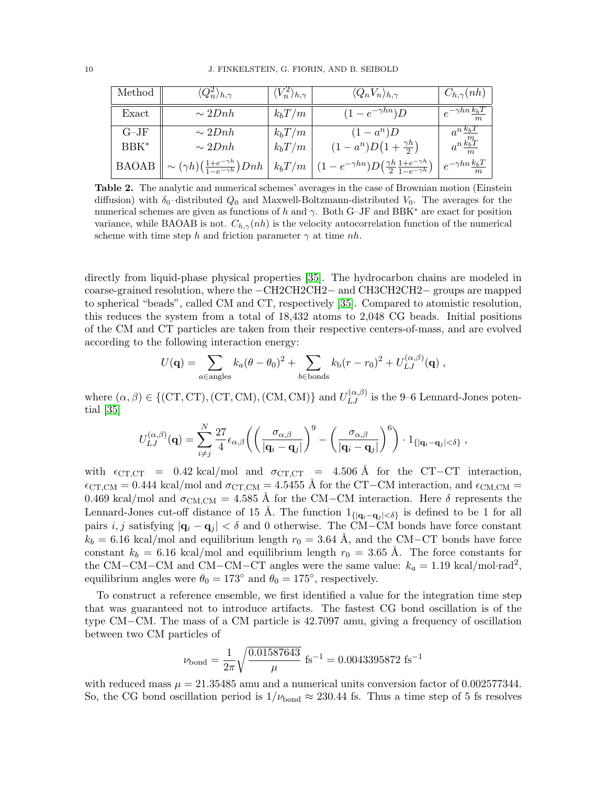<span id="page-9-0"></span>

| Method       | $\langle Q^{2}_{n}\rangle_{h,\gamma}$                                        | $\langle V^2_n \rangle_{h,\gamma}$ | $\langle Q_n V_n \rangle_{h,\gamma}$                                             | $C_{h,\gamma}(nh)$                          |
|--------------|------------------------------------------------------------------------------|------------------------------------|----------------------------------------------------------------------------------|---------------------------------------------|
| Exact        | $\sim 2Dnh$                                                                  | $k_bT/m$                           | $(1-e^{-\gamma h n})D$                                                           | $e^{-\gamma h n \frac{k_b T}{L}}$<br>m      |
| $G-JF$       | $\sim 2Dnh$                                                                  | $k_bT/m$                           | $(1 - a^n)D$                                                                     | $a^{n}\frac{k_bT}{2}$                       |
| BBK*         | $\sim 2Dnh$                                                                  | $k_bT/m$                           | $(1-a^n)D(1+\frac{\gamma h}{2})$                                                 | $a^n \frac{k_b T}{2}$                       |
| <b>BAOAB</b> | $\sim (\gamma h) \left( \frac{1+e^{-\gamma h}}{1-e^{-\gamma h}} \right) Dnh$ | $k_bT/m$                           | $-e^{-\gamma h n} D(\frac{\gamma h}{2} \frac{1+e^{-\gamma h}}{1-e^{-\gamma h}})$ | $+e^{-\gamma h n \frac{k_b T}{L}}$<br>$\,m$ |

Table 2. The analytic and numerical schemes' averages in the case of Brownian motion (Einstein diffusion) with  $\delta_0$ -distributed  $Q_0$  and Maxwell-Boltzmann-distributed  $V_0$ . The averages for the numerical schemes are given as functions of h and  $\gamma$ . Both G–JF and BBK<sup>\*</sup> are exact for position variance, while BAOAB is not.  $C_{h,\gamma}(nh)$  is the velocity autocorrelation function of the numerical scheme with time step h and friction parameter  $\gamma$  at time nh.

directly from liquid-phase physical properties [\[35\]](#page-19-8). The hydrocarbon chains are modeled in coarse-grained resolution, where the −CH2CH2CH2− and CH3CH2CH2− groups are mapped to spherical "beads", called CM and CT, respectively [\[35\]](#page-19-8). Compared to atomistic resolution, this reduces the system from a total of 18,432 atoms to 2,048 CG beads. Initial positions of the CM and CT particles are taken from their respective centers-of-mass, and are evolved according to the following interaction energy:

$$
U(\mathbf{q}) = \sum_{a \in \text{angles}} k_a (\theta - \theta_0)^2 + \sum_{b \in \text{bonds}} k_b (r - r_0)^2 + U_{LJ}^{(\alpha, \beta)}(\mathbf{q}),
$$

where  $(\alpha, \beta) \in \{(\text{CT}, \text{CT}), (\text{CT}, \text{CM}), (\text{CM}, \text{CM})\}$  and  $U_{LJ}^{(\alpha, \beta)}$  is the 9-6 Lennard-Jones potential [\[35\]](#page-19-8)

$$
U_{LJ}^{(\alpha,\beta)}(\mathbf{q}) = \sum_{i \neq j}^{N} \frac{27}{4} \epsilon_{\alpha,\beta} \left( \left( \frac{\sigma_{\alpha,\beta}}{|\mathbf{q}_i - \mathbf{q}_j|} \right)^9 - \left( \frac{\sigma_{\alpha,\beta}}{|\mathbf{q}_i - \mathbf{q}_j|} \right)^6 \right) \cdot 1_{\{|\mathbf{q}_i - \mathbf{q}_j| < \delta\}}
$$

,

with  $\epsilon_{\text{CT,CT}}$  = 0.42 kcal/mol and  $\sigma_{\text{CT,CT}}$  = 4.506 Å for the CT−CT interaction,  $\epsilon_{\text{CT,CM}} = 0.444$  kcal/mol and  $\sigma_{\text{CT,CM}} = 4.5455$  Å for the CT–CM interaction, and  $\epsilon_{\text{CM,CM}} =$ 0.469 kcal/mol and  $\sigma_{\text{CM,CM}} = 4.585$  Å for the CM–CM interaction. Here  $\delta$  represents the Lennard-Jones cut-off distance of 15 Å. The function  $1_{\{|\mathbf{q}_i - \mathbf{q}_j| < \delta\}}$  is defined to be 1 for all pairs i, j satisfying  $|\mathbf{q}_i - \mathbf{q}_j| < \delta$  and 0 otherwise. The CM–CM bonds have force constant  $k_b = 6.16 \text{ kcal/mol}$  and equilibrium length  $r_0 = 3.64 \text{ Å}$ , and the CM–CT bonds have force constant  $k_b = 6.16 \text{ kcal/mol}$  and equilibrium length  $r_0 = 3.65 \text{ Å}$ . The force constants for the CM–CM–CM and CM–CM–CT angles were the same value:  $k_a = 1.19 \text{ kcal/mol-rad}^2$ , equilibrium angles were  $\theta_0 = 173^\circ$  and  $\theta_0 = 175^\circ$ , respectively.

To construct a reference ensemble, we first identified a value for the integration time step that was guaranteed not to introduce artifacts. The fastest CG bond oscillation is of the type CM−CM. The mass of a CM particle is 42.7097 amu, giving a frequency of oscillation between two CM particles of

$$
\nu_{\text{bond}} = \frac{1}{2\pi} \sqrt{\frac{0.01587643}{\mu}} \text{ fs}^{-1} = 0.0043395872 \text{ fs}^{-1}
$$

with reduced mass  $\mu = 21.35485$  amu and a numerical units conversion factor of 0.002577344. So, the CG bond oscillation period is  $1/\nu_{\text{bond}} \approx 230.44$  fs. Thus a time step of 5 fs resolves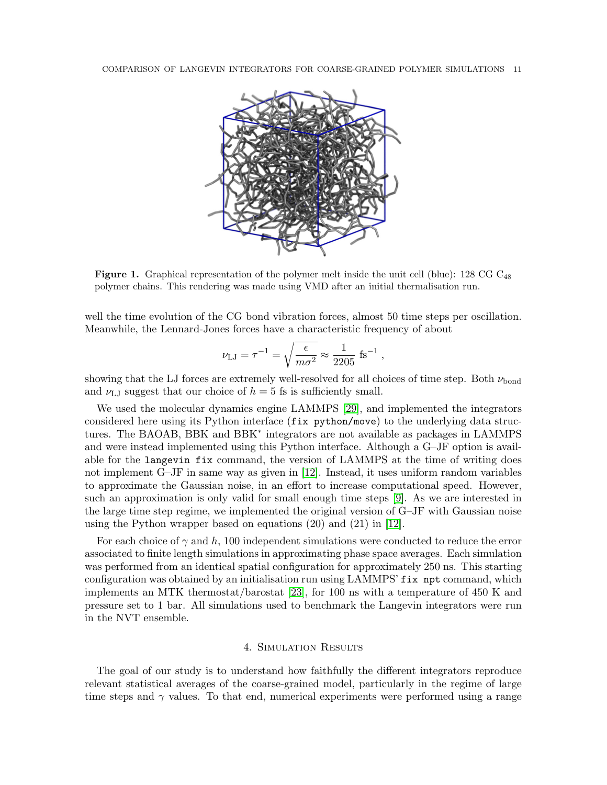

**Figure 1.** Graphical representation of the polymer melt inside the unit cell (blue): 128 CG  $C_{48}$ polymer chains. This rendering was made using VMD after an initial thermalisation run.

well the time evolution of the CG bond vibration forces, almost 50 time steps per oscillation. Meanwhile, the Lennard-Jones forces have a characteristic frequency of about

$$
\nu_{\mathrm{LJ}} = \tau^{-1} = \sqrt{\frac{\epsilon}{m \sigma^2}} \approx \frac{1}{2205} \ \mathrm{fs}^{-1} \ ,
$$

showing that the LJ forces are extremely well-resolved for all choices of time step. Both  $\nu_{\text{bond}}$ and  $\nu_{\text{LJ}}$  suggest that our choice of  $h = 5$  fs is sufficiently small.

We used the molecular dynamics engine LAMMPS [\[29\]](#page-18-10), and implemented the integrators considered here using its Python interface (fix python/move) to the underlying data structures. The BAOAB, BBK and BBK<sup>∗</sup> integrators are not available as packages in LAMMPS and were instead implemented using this Python interface. Although a G–JF option is available for the langevin fix command, the version of LAMMPS at the time of writing does not implement G–JF in same way as given in [\[12\]](#page-18-1). Instead, it uses uniform random variables to approximate the Gaussian noise, in an effort to increase computational speed. However, such an approximation is only valid for small enough time steps [\[9\]](#page-18-25). As we are interested in the large time step regime, we implemented the original version of G–JF with Gaussian noise using the Python wrapper based on equations (20) and (21) in [\[12\]](#page-18-1).

For each choice of  $\gamma$  and h, 100 independent simulations were conducted to reduce the error associated to finite length simulations in approximating phase space averages. Each simulation was performed from an identical spatial configuration for approximately 250 ns. This starting configuration was obtained by an initialisation run using LAMMPS' fix npt command, which implements an MTK thermostat/barostat [\[23\]](#page-18-26), for 100 ns with a temperature of 450 K and pressure set to 1 bar. All simulations used to benchmark the Langevin integrators were run in the NVT ensemble.

## 4. Simulation Results

The goal of our study is to understand how faithfully the different integrators reproduce relevant statistical averages of the coarse-grained model, particularly in the regime of large time steps and  $\gamma$  values. To that end, numerical experiments were performed using a range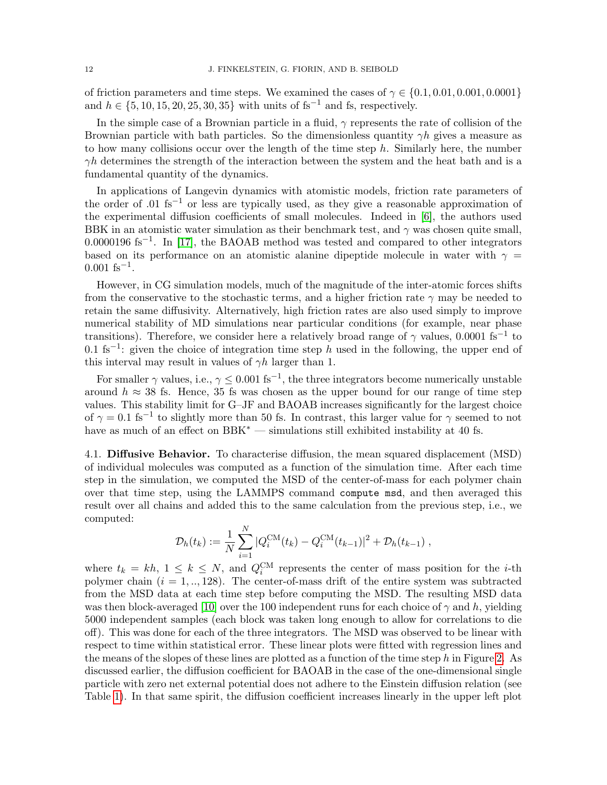of friction parameters and time steps. We examined the cases of  $\gamma \in \{0.1, 0.01, 0.001, 0.0001\}$ and  $h \in \{5, 10, 15, 20, 25, 30, 35\}$  with units of fs<sup>-1</sup> and fs, respectively.

In the simple case of a Brownian particle in a fluid,  $\gamma$  represents the rate of collision of the Brownian particle with bath particles. So the dimensionless quantity  $\gamma h$  gives a measure as to how many collisions occur over the length of the time step  $h$ . Similarly here, the number  $\gamma h$  determines the strength of the interaction between the system and the heat bath and is a fundamental quantity of the dynamics.

In applications of Langevin dynamics with atomistic models, friction rate parameters of the order of .01 fs<sup>-1</sup> or less are typically used, as they give a reasonable approximation of the experimental diffusion coefficients of small molecules. Indeed in [\[6\]](#page-18-2), the authors used BBK in an atomistic water simulation as their benchmark test, and  $\gamma$  was chosen quite small,  $0.0000196$  fs<sup>-1</sup>. In [\[17\]](#page-18-0), the BAOAB method was tested and compared to other integrators based on its performance on an atomistic alanine dipeptide molecule in water with  $\gamma =$  $0.001$  fs<sup>-1</sup>.

However, in CG simulation models, much of the magnitude of the inter-atomic forces shifts from the conservative to the stochastic terms, and a higher friction rate  $\gamma$  may be needed to retain the same diffusivity. Alternatively, high friction rates are also used simply to improve numerical stability of MD simulations near particular conditions (for example, near phase transitions). Therefore, we consider here a relatively broad range of  $\gamma$  values, 0.0001 fs<sup>-1</sup> to 0.1 fs<sup>-1</sup>: given the choice of integration time step h used in the following, the upper end of this interval may result in values of  $\gamma h$  larger than 1.

For smaller  $\gamma$  values, i.e.,  $\gamma \leq 0.001$  fs<sup>-1</sup>, the three integrators become numerically unstable around  $h \approx 38$  fs. Hence, 35 fs was chosen as the upper bound for our range of time step values. This stability limit for G–JF and BAOAB increases significantly for the largest choice of  $\gamma = 0.1$  fs<sup>-1</sup> to slightly more than 50 fs. In contrast, this larger value for  $\gamma$  seemed to not have as much of an effect on BBK<sup>∗</sup> — simulations still exhibited instability at 40 fs.

<span id="page-11-0"></span>4.1. Diffusive Behavior. To characterise diffusion, the mean squared displacement (MSD) of individual molecules was computed as a function of the simulation time. After each time step in the simulation, we computed the MSD of the center-of-mass for each polymer chain over that time step, using the LAMMPS command compute msd, and then averaged this result over all chains and added this to the same calculation from the previous step, i.e., we computed:

$$
\mathcal{D}_h(t_k) := \frac{1}{N} \sum_{i=1}^N |Q_i^{\text{CM}}(t_k) - Q_i^{\text{CM}}(t_{k-1})|^2 + \mathcal{D}_h(t_{k-1}),
$$

where  $t_k = kh$ ,  $1 \leq k \leq N$ , and  $Q_i^{\text{CM}}$  represents the center of mass position for the *i*-th polymer chain  $(i = 1, ..., 128)$ . The center-of-mass drift of the entire system was subtracted from the MSD data at each time step before computing the MSD. The resulting MSD data was then block-averaged [\[10\]](#page-18-27) over the 100 independent runs for each choice of  $\gamma$  and h, yielding 5000 independent samples (each block was taken long enough to allow for correlations to die off). This was done for each of the three integrators. The MSD was observed to be linear with respect to time within statistical error. These linear plots were fitted with regression lines and the means of the slopes of these lines are plotted as a function of the time step h in Figure [2.](#page-12-0) As discussed earlier, the diffusion coefficient for BAOAB in the case of the one-dimensional single particle with zero net external potential does not adhere to the Einstein diffusion relation (see Table [1\)](#page-6-0). In that same spirit, the diffusion coefficient increases linearly in the upper left plot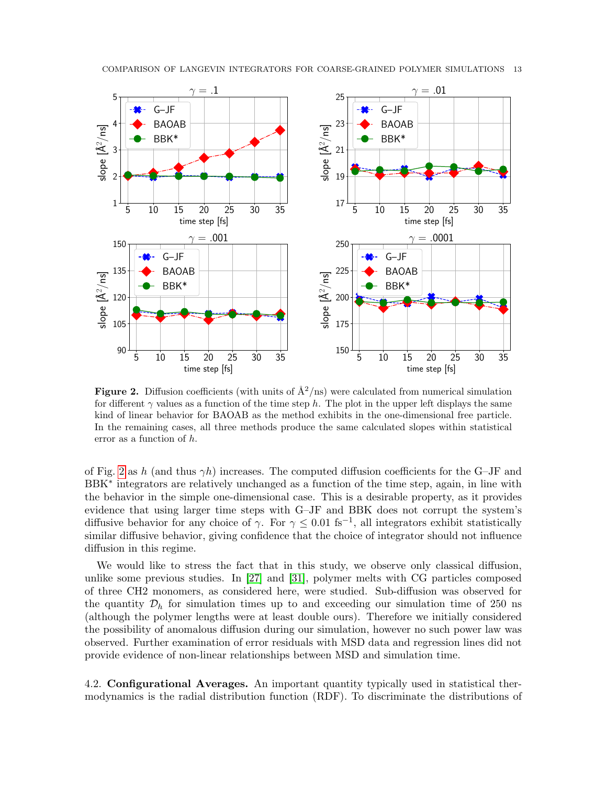<span id="page-12-0"></span>

Figure 2. Diffusion coefficients (with units of  $\mathring{A}^2/\text{ns}$ ) were calculated from numerical simulation for different  $\gamma$  values as a function of the time step h. The plot in the upper left displays the same kind of linear behavior for BAOAB as the method exhibits in the one-dimensional free particle. In the remaining cases, all three methods produce the same calculated slopes within statistical error as a function of h.

of Fig. [2](#page-12-0) as h (and thus  $\gamma h$ ) increases. The computed diffusion coefficients for the G-JF and BBK<sup>\*</sup> integrators are relatively unchanged as a function of the time step, again, in line with the behavior in the simple one-dimensional case. This is a desirable property, as it provides evidence that using larger time steps with G–JF and BBK does not corrupt the system's diffusive behavior for any choice of  $\gamma$ . For  $\gamma \leq 0.01$  fs<sup>-1</sup>, all integrators exhibit statistically similar diffusive behavior, giving confidence that the choice of integrator should not influence diffusion in this regime.

We would like to stress the fact that in this study, we observe only classical diffusion, unlike some previous studies. In [\[27\]](#page-18-28) and [\[31\]](#page-19-6), polymer melts with CG particles composed of three CH2 monomers, as considered here, were studied. Sub-diffusion was observed for the quantity  $\mathcal{D}_h$  for simulation times up to and exceeding our simulation time of 250 ns (although the polymer lengths were at least double ours). Therefore we initially considered the possibility of anomalous diffusion during our simulation, however no such power law was observed. Further examination of error residuals with MSD data and regression lines did not provide evidence of non-linear relationships between MSD and simulation time.

4.2. Configurational Averages. An important quantity typically used in statistical thermodynamics is the radial distribution function (RDF). To discriminate the distributions of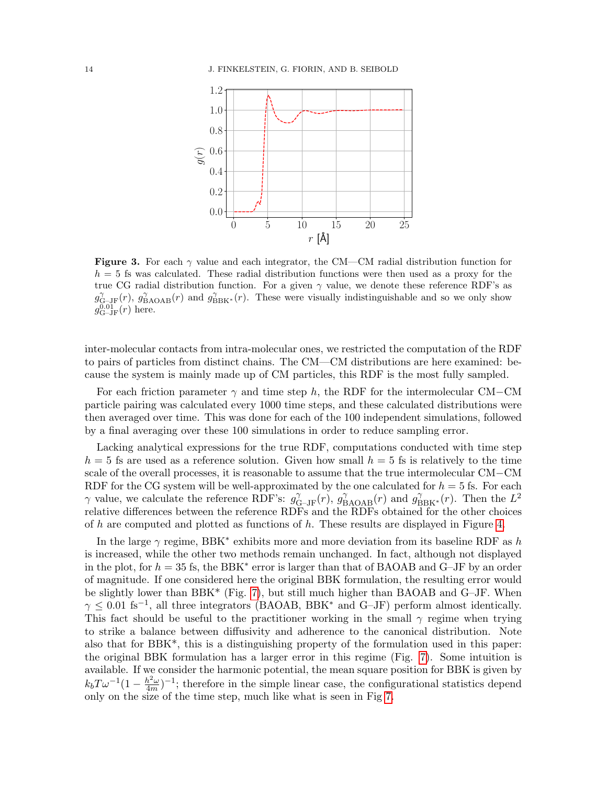

Figure 3. For each  $\gamma$  value and each integrator, the CM—CM radial distribution function for  $h = 5$  fs was calculated. These radial distribution functions were then used as a proxy for the true CG radial distribution function. For a given  $\gamma$  value, we denote these reference RDF's as  $g_{\text{G-JF}}^{\gamma}(r)$ ,  $g_{\text{BAOAB}}^{\gamma}(r)$  and  $g_{\text{BBK}^*}^{\gamma}(r)$ . These were visually indistinguishable and so we only show  $g_{\text{G-JF}}^{\overline{0.01}}(r)$  here.

inter-molecular contacts from intra-molecular ones, we restricted the computation of the RDF to pairs of particles from distinct chains. The CM—CM distributions are here examined: because the system is mainly made up of CM particles, this RDF is the most fully sampled.

For each friction parameter  $\gamma$  and time step h, the RDF for the intermolecular CM–CM particle pairing was calculated every 1000 time steps, and these calculated distributions were then averaged over time. This was done for each of the 100 independent simulations, followed by a final averaging over these 100 simulations in order to reduce sampling error.

Lacking analytical expressions for the true RDF, computations conducted with time step  $h = 5$  fs are used as a reference solution. Given how small  $h = 5$  fs is relatively to the time scale of the overall processes, it is reasonable to assume that the true intermolecular CM−CM RDF for the CG system will be well-approximated by the one calculated for  $h = 5$  fs. For each  $\gamma$  value, we calculate the reference RDF's:  $g_{\text{G-JF}}^{\gamma}(r)$ ,  $g_{\text{BAOAB}}^{\gamma}(r)$  and  $g_{\text{BBK}^*}^{\gamma}(r)$ . Then the  $L^2$ relative differences between the reference RDFs and the RDFs obtained for the other choices of h are computed and plotted as functions of h. These results are displayed in Figure [4.](#page-14-0)

In the large  $\gamma$  regime, BBK<sup>\*</sup> exhibits more and more deviation from its baseline RDF as h is increased, while the other two methods remain unchanged. In fact, although not displayed in the plot, for  $h = 35$  fs, the BBK<sup>\*</sup> error is larger than that of BAOAB and G–JF by an order of magnitude. If one considered here the original BBK formulation, the resulting error would be slightly lower than BBK\* (Fig. [7\)](#page-17-0), but still much higher than BAOAB and G–JF. When  $\gamma \leq 0.01$  fs<sup>-1</sup>, all three integrators (BAOAB, BBK<sup>\*</sup> and G-JF) perform almost identically. This fact should be useful to the practitioner working in the small  $\gamma$  regime when trying to strike a balance between diffusivity and adherence to the canonical distribution. Note also that for  $BBK^*$ , this is a distinguishing property of the formulation used in this paper: the original BBK formulation has a larger error in this regime (Fig. [7\)](#page-17-0). Some intuition is available. If we consider the harmonic potential, the mean square position for BBK is given by  $k_b T \omega^{-1} (1 - \frac{h^2 \omega}{4m})$  $\frac{h^2\omega}{4m}$ )<sup>-1</sup>; therefore in the simple linear case, the configurational statistics depend only on the size of the time step, much like what is seen in Fig [7.](#page-17-0)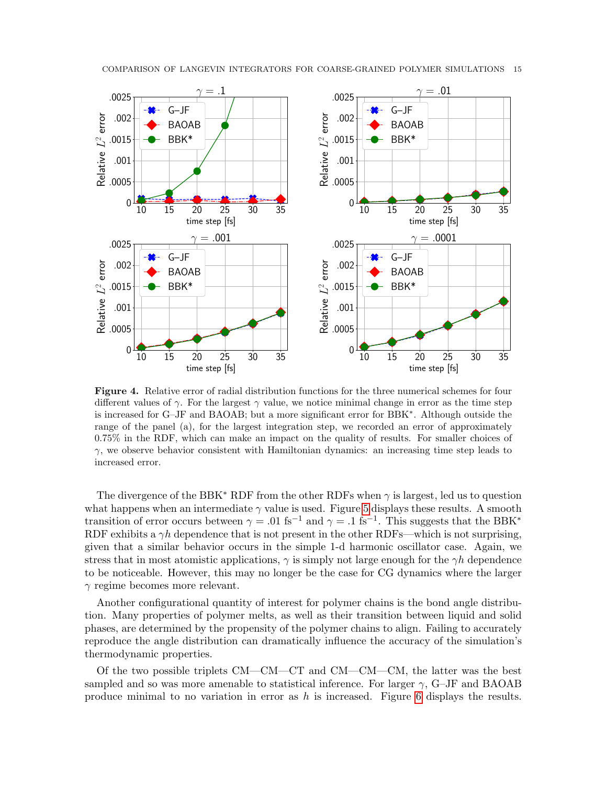<span id="page-14-0"></span>

Figure 4. Relative error of radial distribution functions for the three numerical schemes for four different values of  $\gamma$ . For the largest  $\gamma$  value, we notice minimal change in error as the time step is increased for G–JF and BAOAB; but a more significant error for BBK<sup>∗</sup> . Although outside the range of the panel (a), for the largest integration step, we recorded an error of approximately 0.75% in the RDF, which can make an impact on the quality of results. For smaller choices of  $\gamma$ , we observe behavior consistent with Hamiltonian dynamics: an increasing time step leads to increased error.

The divergence of the BBK<sup>\*</sup> RDF from the other RDFs when  $\gamma$  is largest, led us to question what happens when an intermediate  $\gamma$  value is used. Figure [5](#page-15-0) displays these results. A smooth transition of error occurs between  $\gamma = .01$  fs<sup>-1</sup> and  $\gamma = .1$  fs<sup>-1</sup>. This suggests that the BBK<sup>\*</sup> RDF exhibits a  $\gamma h$  dependence that is not present in the other RDFs—which is not surprising, given that a similar behavior occurs in the simple 1-d harmonic oscillator case. Again, we stress that in most atomistic applications,  $\gamma$  is simply not large enough for the  $\gamma h$  dependence to be noticeable. However, this may no longer be the case for CG dynamics where the larger  $\gamma$  regime becomes more relevant.

Another configurational quantity of interest for polymer chains is the bond angle distribution. Many properties of polymer melts, as well as their transition between liquid and solid phases, are determined by the propensity of the polymer chains to align. Failing to accurately reproduce the angle distribution can dramatically influence the accuracy of the simulation's thermodynamic properties.

Of the two possible triplets CM—CM—CT and CM—CM—CM, the latter was the best sampled and so was more amenable to statistical inference. For larger  $\gamma$ , G–JF and BAOAB produce minimal to no variation in error as  $h$  is increased. Figure [6](#page-16-0) displays the results.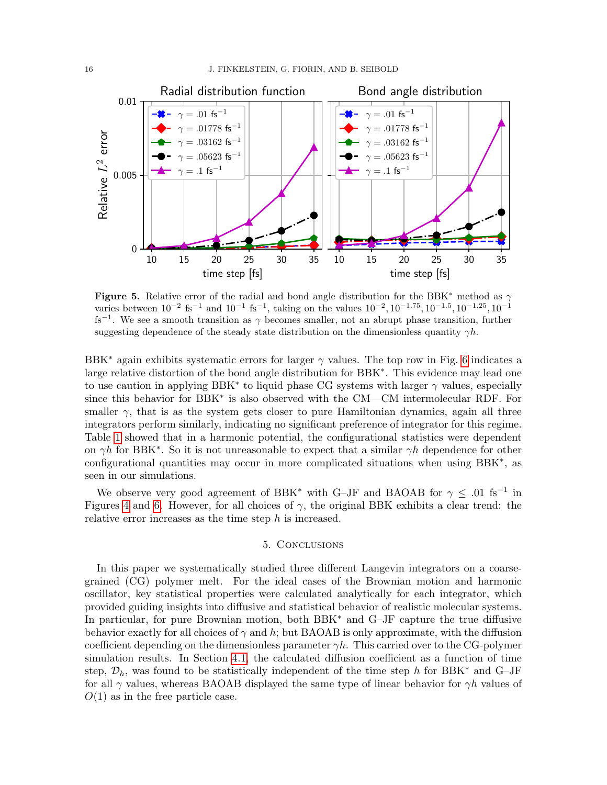<span id="page-15-0"></span>

**Figure 5.** Relative error of the radial and bond angle distribution for the BBK<sup>\*</sup> method as  $\gamma$ varies between  $10^{-2}$  fs<sup>-1</sup> and  $10^{-1}$  fs<sup>-1</sup>, taking on the values  $10^{-2}$ ,  $10^{-1.75}$ ,  $10^{-1.5}$ ,  $10^{-1.25}$ ,  $10^{-1}$ fs<sup>-1</sup>. We see a smooth transition as  $\gamma$  becomes smaller, not an abrupt phase transition, further suggesting dependence of the steady state distribution on the dimensionless quantity  $\gamma h$ .

BBK<sup>\*</sup> again exhibits systematic errors for larger  $\gamma$  values. The top row in Fig. [6](#page-16-0) indicates a large relative distortion of the bond angle distribution for BBK<sup>\*</sup>. This evidence may lead one to use caution in applying BBK<sup>\*</sup> to liquid phase CG systems with larger  $\gamma$  values, especially since this behavior for BBK<sup>∗</sup> is also observed with the CM—CM intermolecular RDF. For smaller  $\gamma$ , that is as the system gets closer to pure Hamiltonian dynamics, again all three integrators perform similarly, indicating no significant preference of integrator for this regime. Table [1](#page-6-0) showed that in a harmonic potential, the configurational statistics were dependent on  $\gamma h$  for BBK<sup>\*</sup>. So it is not unreasonable to expect that a similar  $\gamma h$  dependence for other configurational quantities may occur in more complicated situations when using BBK<sup>∗</sup> , as seen in our simulations.

We observe very good agreement of BBK<sup>\*</sup> with G–JF and BAOAB for  $\gamma \leq .01$  fs<sup>-1</sup> in Figures [4](#page-14-0) and [6.](#page-16-0) However, for all choices of  $\gamma$ , the original BBK exhibits a clear trend: the relative error increases as the time step h is increased.

# 5. Conclusions

In this paper we systematically studied three different Langevin integrators on a coarsegrained (CG) polymer melt. For the ideal cases of the Brownian motion and harmonic oscillator, key statistical properties were calculated analytically for each integrator, which provided guiding insights into diffusive and statistical behavior of realistic molecular systems. In particular, for pure Brownian motion, both BBK<sup>∗</sup> and G–JF capture the true diffusive behavior exactly for all choices of  $\gamma$  and h; but BAOAB is only approximate, with the diffusion coefficient depending on the dimensionless parameter  $\gamma h$ . This carried over to the CG-polymer simulation results. In Section [4.1,](#page-11-0) the calculated diffusion coefficient as a function of time step,  $\mathcal{D}_h$ , was found to be statistically independent of the time step h for BBK<sup>\*</sup> and G–JF for all  $\gamma$  values, whereas BAOAB displayed the same type of linear behavior for  $\gamma h$  values of  $O(1)$  as in the free particle case.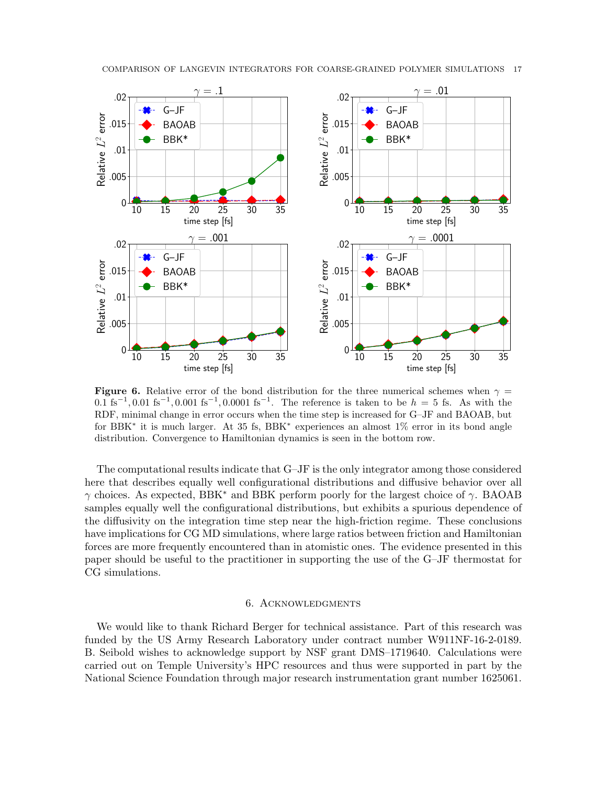<span id="page-16-0"></span>

Figure 6. Relative error of the bond distribution for the three numerical schemes when  $\gamma$  =  $0.1 \text{ fs}^{-1}$ ,  $0.01 \text{ fs}^{-1}$ ,  $0.0001 \text{ fs}^{-1}$ . The reference is taken to be  $h = 5$  fs. As with the RDF, minimal change in error occurs when the time step is increased for G–JF and BAOAB, but for BBK<sup>\*</sup> it is much larger. At 35 fs, BBK<sup>\*</sup> experiences an almost 1% error in its bond angle distribution. Convergence to Hamiltonian dynamics is seen in the bottom row.

The computational results indicate that G–JF is the only integrator among those considered here that describes equally well configurational distributions and diffusive behavior over all  $γ$  choices. As expected, BBK<sup>\*</sup> and BBK perform poorly for the largest choice of  $γ$ . BAOAB samples equally well the configurational distributions, but exhibits a spurious dependence of the diffusivity on the integration time step near the high-friction regime. These conclusions have implications for CG MD simulations, where large ratios between friction and Hamiltonian forces are more frequently encountered than in atomistic ones. The evidence presented in this paper should be useful to the practitioner in supporting the use of the G–JF thermostat for CG simulations.

# 6. Acknowledgments

We would like to thank Richard Berger for technical assistance. Part of this research was funded by the US Army Research Laboratory under contract number W911NF-16-2-0189. B. Seibold wishes to acknowledge support by NSF grant DMS–1719640. Calculations were carried out on Temple University's HPC resources and thus were supported in part by the National Science Foundation through major research instrumentation grant number 1625061.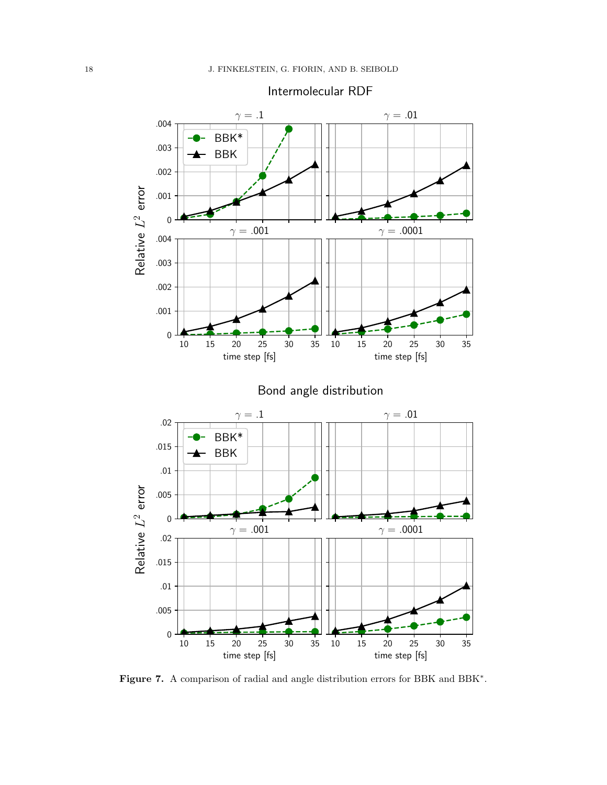<span id="page-17-0"></span>

Figure 7. A comparison of radial and angle distribution errors for BBK and BBK<sup>\*</sup>.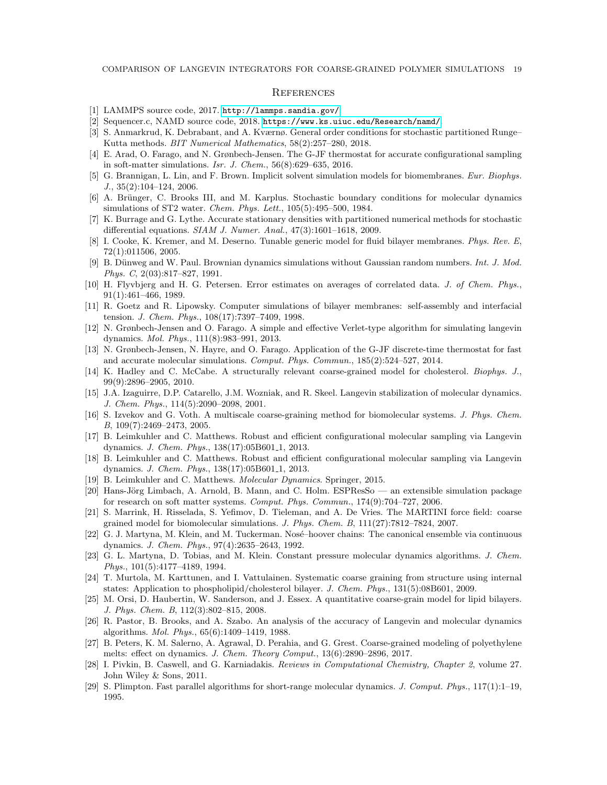#### **REFERENCES**

- <span id="page-18-20"></span>[1] LAMMPS source code, 2017. <http://lammps.sandia.gov/>.
- <span id="page-18-21"></span>[2] Sequencer.c, NAMD source code, 2018. <https://www.ks.uiuc.edu/Research/namd/>.
- <span id="page-18-5"></span>[3] S. Anmarkrud, K. Debrabant, and A. Kværnø. General order conditions for stochastic partitioned Runge– Kutta methods. BIT Numerical Mathematics, 58(2):257–280, 2018.
- <span id="page-18-9"></span>[4] E. Arad, O. Farago, and N. Grønbech-Jensen. The G-JF thermostat for accurate configurational sampling in soft-matter simulations. Isr. J. Chem., 56(8):629–635, 2016.
- <span id="page-18-16"></span>[5] G. Brannigan, L. Lin, and F. Brown. Implicit solvent simulation models for biomembranes. Eur. Biophys. J., 35(2):104–124, 2006.
- <span id="page-18-2"></span>[6] A. Brünger, C. Brooks III, and M. Karplus. Stochastic boundary conditions for molecular dynamics simulations of ST2 water. Chem. Phys. Lett., 105(5):495–500, 1984.
- <span id="page-18-22"></span>[7] K. Burrage and G. Lythe. Accurate stationary densities with partitioned numerical methods for stochastic differential equations. SIAM J. Numer. Anal., 47(3):1601–1618, 2009.
- <span id="page-18-13"></span>[8] I. Cooke, K. Kremer, and M. Deserno. Tunable generic model for fluid bilayer membranes. Phys. Rev. E, 72(1):011506, 2005.
- <span id="page-18-25"></span>[9] B. Dünweg and W. Paul. Brownian dynamics simulations without Gaussian random numbers. Int. J. Mod. Phys. C, 2(03):817–827, 1991.
- <span id="page-18-27"></span>[10] H. Flyvbjerg and H. G. Petersen. Error estimates on averages of correlated data. J. of Chem. Phys., 91(1):461–466, 1989.
- <span id="page-18-14"></span>[11] R. Goetz and R. Lipowsky. Computer simulations of bilayer membranes: self-assembly and interfacial tension. J. Chem. Phys., 108(17):7397–7409, 1998.
- <span id="page-18-1"></span>[12] N. Grønbech-Jensen and O. Farago. A simple and effective Verlet-type algorithm for simulating langevin dynamics. Mol. Phys., 111(8):983–991, 2013.
- <span id="page-18-8"></span>[13] N. Grønbech-Jensen, N. Hayre, and O. Farago. Application of the G-JF discrete-time thermostat for fast and accurate molecular simulations. Comput. Phys. Commun., 185(2):524–527, 2014.
- <span id="page-18-19"></span>[14] K. Hadley and C. McCabe. A structurally relevant coarse-grained model for cholesterol. Biophys. J., 99(9):2896–2905, 2010.
- <span id="page-18-23"></span>[15] J.A. Izaguirre, D.P. Catarello, J.M. Wozniak, and R. Skeel. Langevin stabilization of molecular dynamics. J. Chem. Phys., 114(5):2090–2098, 2001.
- <span id="page-18-15"></span>[16] S. Izvekov and G. Voth. A multiscale coarse-graining method for biomolecular systems. J. Phys. Chem. B, 109(7):2469–2473, 2005.
- <span id="page-18-0"></span>[17] B. Leimkuhler and C. Matthews. Robust and efficient configurational molecular sampling via Langevin dynamics. *J. Chem. Phys.*,  $138(17):05B601_1$ ,  $2013$ .
- <span id="page-18-24"></span>[18] B. Leimkuhler and C. Matthews. Robust and efficient configurational molecular sampling via Langevin dynamics. J. Chem. Phys., 138(17):05B601<sub>-1</sub>, 2013.
- <span id="page-18-7"></span>[19] B. Leimkuhler and C. Matthews. Molecular Dynamics. Springer, 2015.
- <span id="page-18-11"></span>[20] Hans-Jörg Limbach, A. Arnold, B. Mann, and C. Holm. ESPResSo — an extensible simulation package for research on soft matter systems. Comput. Phys. Commun., 174(9):704–727, 2006.
- <span id="page-18-12"></span>[21] S. Marrink, H. Risselada, S. Yefimov, D. Tieleman, and A. De Vries. The MARTINI force field: coarse grained model for biomolecular simulations. J. Phys. Chem. B, 111(27):7812–7824, 2007.
- <span id="page-18-3"></span>[22] G. J. Martyna, M. Klein, and M. Tuckerman. Nosé-hoover chains: The canonical ensemble via continuous dynamics. J. Chem. Phys., 97(4):2635–2643, 1992.
- <span id="page-18-26"></span>[23] G. L. Martyna, D. Tobias, and M. Klein. Constant pressure molecular dynamics algorithms. J. Chem. Phys., 101(5):4177–4189, 1994.
- <span id="page-18-18"></span>[24] T. Murtola, M. Karttunen, and I. Vattulainen. Systematic coarse graining from structure using internal states: Application to phospholipid/cholesterol bilayer. J. Chem. Phys., 131(5):08B601, 2009.
- <span id="page-18-17"></span>[25] M. Orsi, D. Haubertin, W. Sanderson, and J. Essex. A quantitative coarse-grain model for lipid bilayers. J. Phys. Chem. B, 112(3):802–815, 2008.
- <span id="page-18-6"></span>[26] R. Pastor, B. Brooks, and A. Szabo. An analysis of the accuracy of Langevin and molecular dynamics algorithms. Mol. Phys., 65(6):1409–1419, 1988.
- <span id="page-18-28"></span>[27] B. Peters, K. M. Salerno, A. Agrawal, D. Perahia, and G. Grest. Coarse-grained modeling of polyethylene melts: effect on dynamics. J. Chem. Theory Comput., 13(6):2890–2896, 2017.
- <span id="page-18-4"></span>[28] I. Pivkin, B. Caswell, and G. Karniadakis. Reviews in Computational Chemistry, Chapter 2, volume 27. John Wiley & Sons, 2011.
- <span id="page-18-10"></span>[29] S. Plimpton. Fast parallel algorithms for short-range molecular dynamics. J. Comput. Phys., 117(1):1–19, 1995.